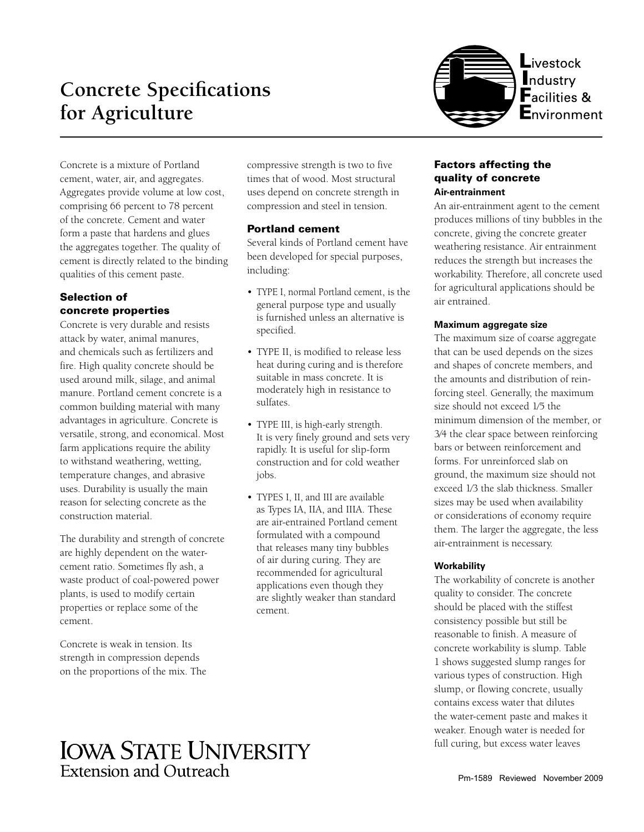# **Concrete Specifications for Agriculture**



Concrete is a mixture of Portland cement, water, air, and aggregates. Aggregates provide volume at low cost, comprising 66 percent to 78 percent of the concrete. Cement and water form a paste that hardens and glues the aggregates together. The quality of cement is directly related to the binding qualities of this cement paste.

# Selection of concrete properties

Concrete is very durable and resists attack by water, animal manures, and chemicals such as fertilizers and fire. High quality concrete should be used around milk, silage, and animal manure. Portland cement concrete is a common building material with many advantages in agriculture. Concrete is versatile, strong, and economical. Most farm applications require the ability to withstand weathering, wetting, temperature changes, and abrasive uses. Durability is usually the main reason for selecting concrete as the construction material.

The durability and strength of concrete are highly dependent on the watercement ratio. Sometimes fly ash, a waste product of coal-powered power plants, is used to modify certain properties or replace some of the cement.

Concrete is weak in tension. Its strength in compression depends on the proportions of the mix. The compressive strength is two to five times that of wood. Most structural uses depend on concrete strength in compression and steel in tension.

# Portland cement

Several kinds of Portland cement have been developed for special purposes, including:

- TYPE I, normal Portland cement, is the general purpose type and usually is furnished unless an alternative is specified.
- TYPE II, is modified to release less heat during curing and is therefore suitable in mass concrete. It is moderately high in resistance to sulfates.
- TYPE III, is high-early strength. It is very finely ground and sets very rapidly. It is useful for slip-form construction and for cold weather jobs.
- TYPES I, II, and III are available as Types IA, IIA, and IIIA. These are air-entrained Portland cement formulated with a compound that releases many tiny bubbles of air during curing. They are recommended for agricultural applications even though they are slightly weaker than standard cement.

# Factors affecting the quality of concrete **Air-entrainment**

An air-entrainment agent to the cement produces millions of tiny bubbles in the concrete, giving the concrete greater weathering resistance. Air entrainment reduces the strength but increases the workability. Therefore, all concrete used for agricultural applications should be air entrained.

# **Maximum aggregate size**

The maximum size of coarse aggregate that can be used depends on the sizes and shapes of concrete members, and the amounts and distribution of reinforcing steel. Generally, the maximum size should not exceed 1⁄5 the minimum dimension of the member, or 3⁄4 the clear space between reinforcing bars or between reinforcement and forms. For unreinforced slab on ground, the maximum size should not exceed 1⁄3 the slab thickness. Smaller sizes may be used when availability or considerations of economy require them. The larger the aggregate, the less air-entrainment is necessary.

# **Workability**

The workability of concrete is another quality to consider. The concrete should be placed with the stiffest consistency possible but still be reasonable to finish. A measure of concrete workability is slump. Table 1 shows suggested slump ranges for various types of construction. High slump, or flowing concrete, usually contains excess water that dilutes the water-cement paste and makes it weaker. Enough water is needed for full curing, but excess water leaves

# **IOWA STATE UNIVERSITY Extension and Outreach**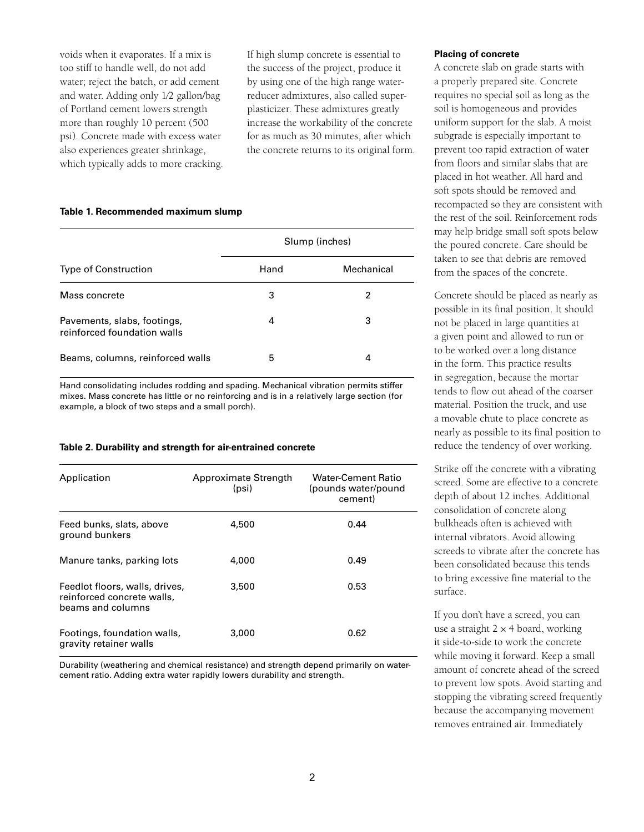voids when it evaporates. If a mix is too stiff to handle well, do not add water; reject the batch, or add cement and water. Adding only 1⁄2 gallon/bag of Portland cement lowers strength more than roughly 10 percent (500 psi). Concrete made with excess water also experiences greater shrinkage, which typically adds to more cracking. If high slump concrete is essential to the success of the project, produce it by using one of the high range waterreducer admixtures, also called superplasticizer. These admixtures greatly increase the workability of the concrete for as much as 30 minutes, after which the concrete returns to its original form.

### **Table 1. Recommended maximum slump**

|                                                            | Slump (inches) |            |
|------------------------------------------------------------|----------------|------------|
| <b>Type of Construction</b>                                | Hand           | Mechanical |
| Mass concrete                                              | 3              | 2          |
| Pavements, slabs, footings,<br>reinforced foundation walls | 4              | 3          |
| Beams, columns, reinforced walls                           | 5              | 4          |

Hand consolidating includes rodding and spading. Mechanical vibration permits stiffer mixes. Mass concrete has little or no reinforcing and is in a relatively large section (for example, a block of two steps and a small porch).

#### **Table 2. Durability and strength for air-entrained concrete**

| Application                                                                       | Approximate Strength<br>(psi) | Water-Cement Ratio<br>(pounds water/pound<br>cement) |
|-----------------------------------------------------------------------------------|-------------------------------|------------------------------------------------------|
| Feed bunks, slats, above<br>ground bunkers                                        | 4,500                         | 0.44                                                 |
| Manure tanks, parking lots                                                        | 4,000                         | 0.49                                                 |
| Feedlot floors, walls, drives,<br>reinforced concrete walls,<br>beams and columns | 3.500                         | 0.53                                                 |
| Footings, foundation walls,<br>gravity retainer walls                             | 3,000                         | 0.62                                                 |

Durability (weathering and chemical resistance) and strength depend primarily on watercement ratio. Adding extra water rapidly lowers durability and strength.

#### **Placing of concrete**

A concrete slab on grade starts with a properly prepared site. Concrete requires no special soil as long as the soil is homogeneous and provides uniform support for the slab. A moist subgrade is especially important to prevent too rapid extraction of water from floors and similar slabs that are placed in hot weather. All hard and soft spots should be removed and recompacted so they are consistent with the rest of the soil. Reinforcement rods may help bridge small soft spots below the poured concrete. Care should be taken to see that debris are removed from the spaces of the concrete.

Concrete should be placed as nearly as possible in its final position. It should not be placed in large quantities at a given point and allowed to run or to be worked over a long distance in the form. This practice results in segregation, because the mortar tends to flow out ahead of the coarser material. Position the truck, and use a movable chute to place concrete as nearly as possible to its final position to reduce the tendency of over working.

Strike off the concrete with a vibrating screed. Some are effective to a concrete depth of about 12 inches. Additional consolidation of concrete along bulkheads often is achieved with internal vibrators. Avoid allowing screeds to vibrate after the concrete has been consolidated because this tends to bring excessive fine material to the surface.

If you don't have a screed, you can use a straight  $2 \times 4$  board, working it side-to-side to work the concrete while moving it forward. Keep a small amount of concrete ahead of the screed to prevent low spots. Avoid starting and stopping the vibrating screed frequently because the accompanying movement removes entrained air. Immediately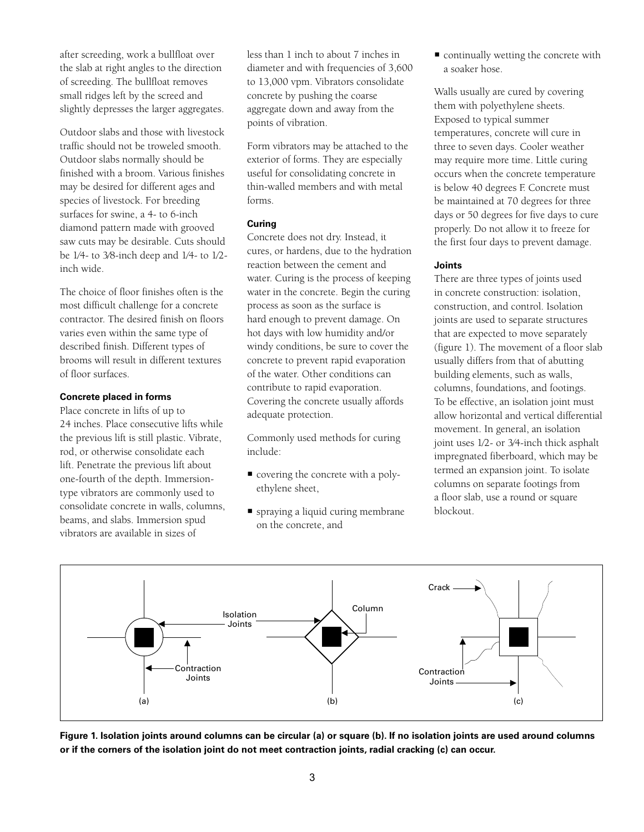after screeding, work a bullfloat over the slab at right angles to the direction of screeding. The bullfloat removes small ridges left by the screed and slightly depresses the larger aggregates.

Outdoor slabs and those with livestock traffic should not be troweled smooth. Outdoor slabs normally should be finished with a broom. Various finishes may be desired for different ages and species of livestock. For breeding surfaces for swine, a 4- to 6-inch diamond pattern made with grooved saw cuts may be desirable. Cuts should be 1⁄4- to 3⁄8-inch deep and 1⁄4- to 1⁄2 inch wide.

The choice of floor finishes often is the most difficult challenge for a concrete contractor. The desired finish on floors varies even within the same type of described finish. Different types of brooms will result in different textures of floor surfaces.

## **Concrete placed in forms**

Place concrete in lifts of up to 24 inches. Place consecutive lifts while the previous lift is still plastic. Vibrate, rod, or otherwise consolidate each lift. Penetrate the previous lift about one-fourth of the depth. Immersiontype vibrators are commonly used to consolidate concrete in walls, columns, beams, and slabs. Immersion spud vibrators are available in sizes of

less than 1 inch to about 7 inches in diameter and with frequencies of 3,600 to 13,000 vpm. Vibrators consolidate concrete by pushing the coarse aggregate down and away from the points of vibration.

Form vibrators may be attached to the exterior of forms. They are especially useful for consolidating concrete in thin-walled members and with metal forms.

## **Curing**

Concrete does not dry. Instead, it cures, or hardens, due to the hydration reaction between the cement and water. Curing is the process of keeping water in the concrete. Begin the curing process as soon as the surface is hard enough to prevent damage. On hot days with low humidity and/or windy conditions, be sure to cover the concrete to prevent rapid evaporation of the water. Other conditions can contribute to rapid evaporation. Covering the concrete usually affords adequate protection.

Commonly used methods for curing include:

- covering the concrete with a polyethylene sheet,
- spraying a liquid curing membrane on the concrete, and

 continually wetting the concrete with a soaker hose.

Walls usually are cured by covering them with polyethylene sheets. Exposed to typical summer temperatures, concrete will cure in three to seven days. Cooler weather may require more time. Little curing occurs when the concrete temperature is below 40 degrees F. Concrete must be maintained at 70 degrees for three days or 50 degrees for five days to cure properly. Do not allow it to freeze for the first four days to prevent damage.

## **Joints**

There are three types of joints used in concrete construction: isolation, construction, and control. Isolation joints are used to separate structures that are expected to move separately (figure 1). The movement of a floor slab usually differs from that of abutting building elements, such as walls, columns, foundations, and footings. To be effective, an isolation joint must allow horizontal and vertical differential movement. In general, an isolation joint uses 1⁄2- or 3⁄4-inch thick asphalt impregnated fiberboard, which may be termed an expansion joint. To isolate columns on separate footings from a floor slab, use a round or square blockout.



**Figure 1. Isolation joints around columns can be circular (a) or square (b). If no isolation joints are used around columns or if the corners of the isolation joint do not meet contraction joints, radial cracking (c) can occur.**